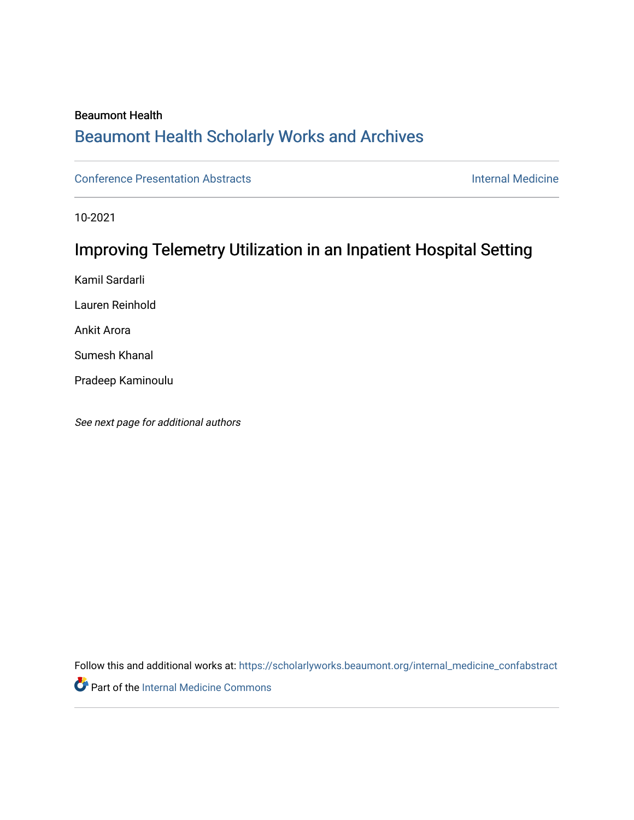## Beaumont Health

## [Beaumont Health Scholarly Works and Archives](https://scholarlyworks.beaumont.org/)

[Conference Presentation Abstracts](https://scholarlyworks.beaumont.org/internal_medicine_confabstract) [Internal Medicine](https://scholarlyworks.beaumont.org/internal_medicine) 

10-2021

# Improving Telemetry Utilization in an Inpatient Hospital Setting

Kamil Sardarli

Lauren Reinhold

Ankit Arora

Sumesh Khanal

Pradeep Kaminoulu

See next page for additional authors

Follow this and additional works at: [https://scholarlyworks.beaumont.org/internal\\_medicine\\_confabstract](https://scholarlyworks.beaumont.org/internal_medicine_confabstract?utm_source=scholarlyworks.beaumont.org%2Finternal_medicine_confabstract%2F90&utm_medium=PDF&utm_campaign=PDFCoverPages) 

**Part of the [Internal Medicine Commons](http://network.bepress.com/hgg/discipline/1356?utm_source=scholarlyworks.beaumont.org%2Finternal_medicine_confabstract%2F90&utm_medium=PDF&utm_campaign=PDFCoverPages)**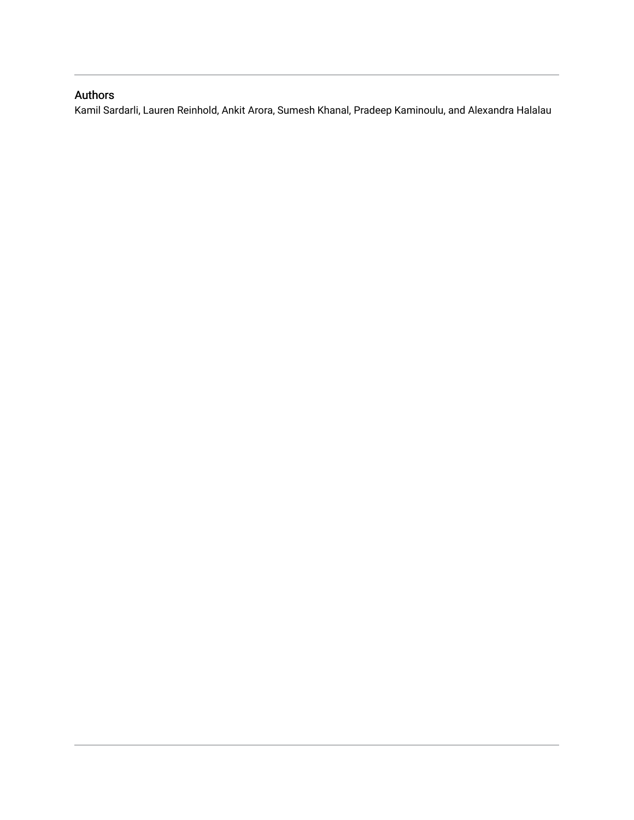## Authors

Kamil Sardarli, Lauren Reinhold, Ankit Arora, Sumesh Khanal, Pradeep Kaminoulu, and Alexandra Halalau